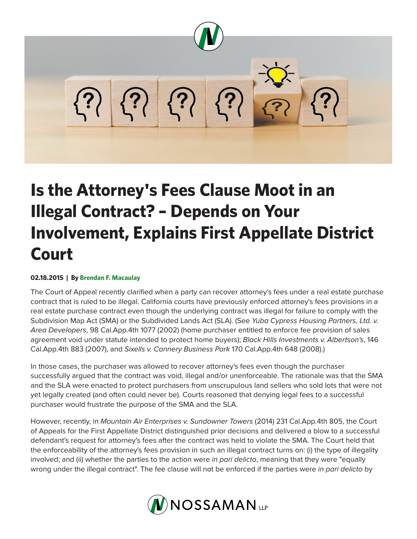

## **Is the Attorney's Fees Clause Moot in an Illegal Contract? – Depends on Your Involvement, Explains First Appellate District Court**

## **02.18.2015 | By Brendan F. Macaulay**

The Court of Appeal recently clarified when a party can recover attorney's fees under a real estate purchase contract that is ruled to be illegal. California courts have previously enforced attorney's fees provisions in a real estate purchase contract even though the underlying contract was illegal for failure to comply with the Subdivision Map Act (SMA) or the Subdivided Lands Act (SLA). (See *Yuba Cypress Housing Partners, Ltd. v. Area Developers*, 98 Cal.App.4th 1077 (2002) (home purchaser entitled to enforce fee provision of sales agreement void under statute intended to protect home buyers); *Black Hills Investments v. Albertson's*, 146 Cal.App.4th 883 (2007), and *Sixells v. Cannery Business Park* 170 Cal.App.4th 648 (2008).)

In those cases, the purchaser was allowed to recover attorney's fees even though the purchaser successfully argued that the contract was void, illegal and/or unenforceable. The rationale was that the SMA and the SLA were enacted to protect purchasers from unscrupulous land sellers who sold lots that were not yet legally created (and often could never be). Courts reasoned that denying legal fees to a successful purchaser would frustrate the purpose of the SMA and the SLA.

However, recently, in *Mountain Air Enterprises v. Sundowner Towers* (2014) 231 Cal.App.4th 805, the Court of Appeals for the First Appellate District distinguished prior decisions and delivered a blow to a successful defendant's request for attorney's fees after the contract was held to violate the SMA. The Court held that the enforceability of the attorney's fees provision in such an illegal contract turns on: (i) the type of illegality involved; and (ii) whether the parties to the action were *in pari delicto*, meaning that they were "equally wrong under the illegal contract". The fee clause will not be enforced if the parties were *in pari delicto* by

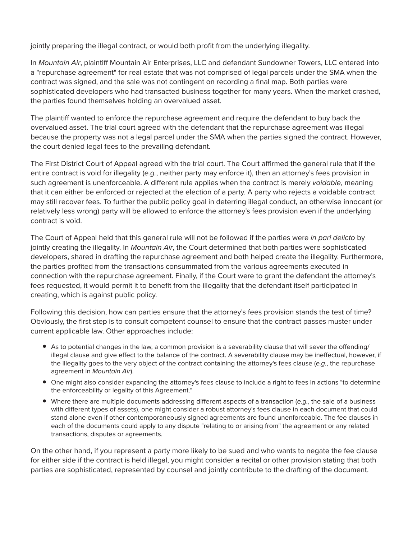jointly preparing the illegal contract, or would both profit from the underlying illegality.

In *Mountain Air*, plaintiff Mountain Air Enterprises, LLC and defendant Sundowner Towers, LLC entered into a "repurchase agreement" for real estate that was not comprised of legal parcels under the SMA when the contract was signed, and the sale was not contingent on recording a final map. Both parties were sophisticated developers who had transacted business together for many years. When the market crashed, the parties found themselves holding an overvalued asset.

The plaintiff wanted to enforce the repurchase agreement and require the defendant to buy back the overvalued asset. The trial court agreed with the defendant that the repurchase agreement was illegal because the property was not a legal parcel under the SMA when the parties signed the contract. However, the court denied legal fees to the prevailing defendant.

The First District Court of Appeal agreed with the trial court. The Court affirmed the general rule that if the entire contract is void for illegality (*e.g.*, neither party may enforce it), then an attorney's fees provision in such agreement is unenforceable. A different rule applies when the contract is merely *voidable*, meaning that it can either be enforced or rejected at the election of a party. A party who rejects a voidable contract may still recover fees. To further the public policy goal in deterring illegal conduct, an otherwise innocent (or relatively less wrong) party will be allowed to enforce the attorney's fees provision even if the underlying contract is void.

The Court of Appeal held that this general rule will not be followed if the parties were *in pari delicto* by jointly creating the illegality. In *Mountain Air*, the Court determined that both parties were sophisticated developers, shared in drafting the repurchase agreement and both helped create the illegality. Furthermore, the parties profited from the transactions consummated from the various agreements executed in connection with the repurchase agreement. Finally, if the Court were to grant the defendant the attorney's fees requested, it would permit it to benefit from the illegality that the defendant itself participated in creating, which is against public policy.

Following this decision, how can parties ensure that the attorney's fees provision stands the test of time? Obviously, the first step is to consult competent counsel to ensure that the contract passes muster under current applicable law. Other approaches include:

- As to potential changes in the law, a common provision is a severability clause that will sever the offending/ illegal clause and give effect to the balance of the contract. A severability clause may be ineffectual, however, if the illegality goes to the very object of the contract containing the attorney's fees clause (*e.g.*, the repurchase agreement in *Mountain Air*).
- One might also consider expanding the attorney's fees clause to include a right to fees in actions "to determine the enforceability or legality of this Agreement."
- Where there are multiple documents addressing different aspects of a transaction (*e.g.*, the sale of a business with different types of assets), one might consider a robust attorney's fees clause in each document that could stand alone even if other contemporaneously signed agreements are found unenforceable. The fee clauses in each of the documents could apply to any dispute "relating to or arising from" the agreement or any related transactions, disputes or agreements.

On the other hand, if you represent a party more likely to be sued and who wants to negate the fee clause for either side if the contract is held illegal, you might consider a recital or other provision stating that both parties are sophisticated, represented by counsel and jointly contribute to the drafting of the document.